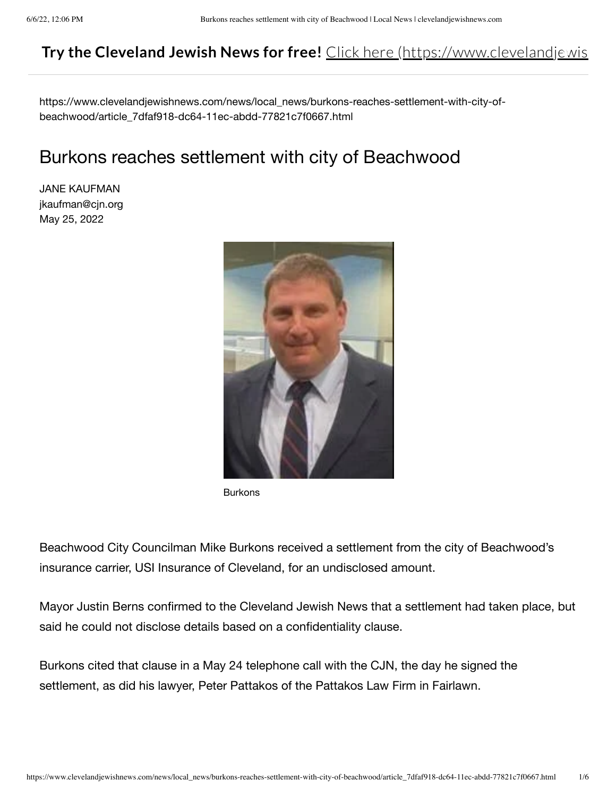# **Try the Cleveland Jewish News for free!** Click here (https://www.clevelandjewis

https://www.clevelandjewishnews.com/news/local\_news/burkons-reaches-settlement-with-city-ofbeachwood/article\_7dfaf918-dc64-11ec-abdd-77821c7f0667.html

# Burkons reaches settlement with city of Beachwood

JANE KAUFMAN jkaufman@cjn.org May 25, 2022



Burkons

Beachwood City Councilman Mike Burkons received a settlement from the city of Beachwood's insurance carrier, USI Insurance of Cleveland, for an undisclosed amount.

Mayor Justin Berns confirmed to the Cleveland Jewish News that a settlement had taken place, but said he could not disclose details based on a confidentiality clause.

Burkons cited that clause in a May 24 telephone call with the CJN, the day he signed the settlement, as did his lawyer, Peter Pattakos of the Pattakos Law Firm in Fairlawn.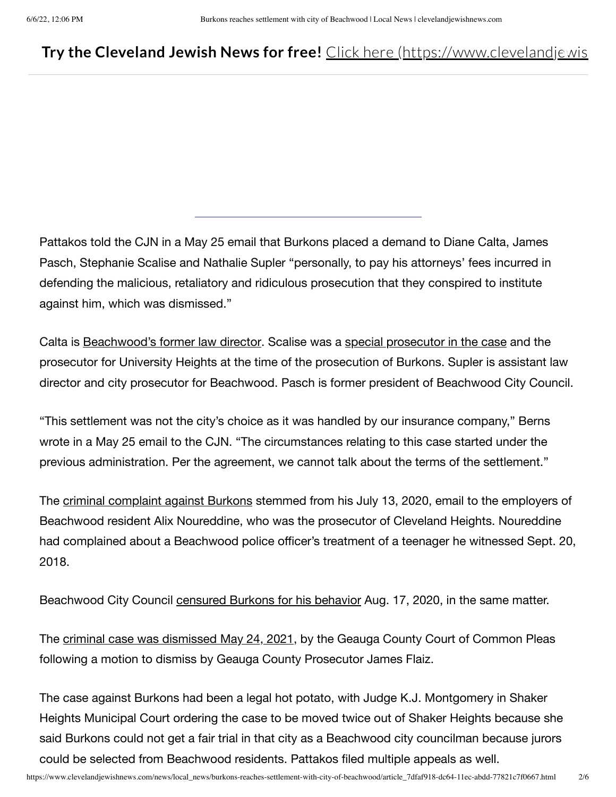### **Try the Cleveland Jewish News for free!** Click here (https://www.clevelandjewis

Pattakos told the CJN in a May 25 email that Burkons placed a demand to Diane Calta, James Pasch, Stephanie Scalise and Nathalie Supler "personally, to pay his attorneys' fees incurred in defending the malicious, retaliatory and ridiculous prosecution that they conspired to institute against him, which was dismissed."

Calta is Beachwood's former law director. Scalise was a special prosecutor in the case and the prosecutor for University Heights at the time of the prosecution of Burkons. Supler is assistant law director and city prosecutor for Beachwood. Pasch is former president of Beachwood City Council.

"This settlement was not the city's choice as it was handled by our insurance company," Berns wrote in a May 25 email to the CJN. "The circumstances relating to this case started under the previous administration. Per the agreement, we cannot talk about the terms of the settlement."

The criminal complaint against Burkons stemmed from his July 13, 2020, email to the employers of Beachwood resident Alix Noureddine, who was the prosecutor of Cleveland Heights. Noureddine had complained about a Beachwood police officer's treatment of a teenager he witnessed Sept. 20, 2018.

Beachwood City Council censured Burkons for his behavior Aug. 17, 2020, in the same matter.

The criminal case was dismissed May 24, 2021, by the Geauga County Court of Common Pleas following a motion to dismiss by Geauga County Prosecutor James Flaiz.

The case against Burkons had been a legal hot potato, with Judge K.J. Montgomery in Shaker Heights Municipal Court ordering the case to be moved twice out of Shaker Heights because she said Burkons could not get a fair trial in that city as a Beachwood city councilman because jurors could be selected from Beachwood residents. Pattakos filed multiple appeals as well.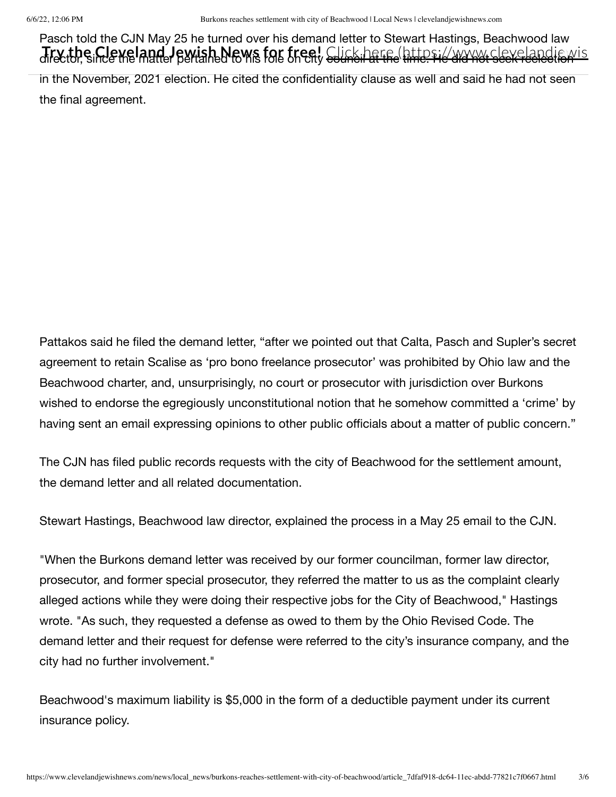Pasch told the CJN May 25 he turned over his demand letter to Stewart Hastings, Beachwood law Jrythe Cleveland Jewish News for tree! Glink have lattes in avony sleveland is wis in the November, 2021 election. He cited the confidentiality clause as well and said he had not seen the final agreement.

Pattakos said he filed the demand letter, "after we pointed out that Calta, Pasch and Supler's secret agreement to retain Scalise as 'pro bono freelance prosecutor' was prohibited by Ohio law and the Beachwood charter, and, unsurprisingly, no court or prosecutor with jurisdiction over Burkons wished to endorse the egregiously unconstitutional notion that he somehow committed a 'crime' by having sent an email expressing opinions to other public officials about a matter of public concern."

The CJN has filed public records requests with the city of Beachwood for the settlement amount, the demand letter and all related documentation.

Stewart Hastings, Beachwood law director, explained the process in a May 25 email to the CJN.

"When the Burkons demand letter was received by our former councilman, former law director, prosecutor, and former special prosecutor, they referred the matter to us as the complaint clearly alleged actions while they were doing their respective jobs for the City of Beachwood," Hastings wrote. "As such, they requested a defense as owed to them by the Ohio Revised Code. The demand letter and their request for defense were referred to the city's insurance company, and the city had no further involvement."

Beachwood's maximum liability is \$5,000 in the form of a deductible payment under its current insurance policy.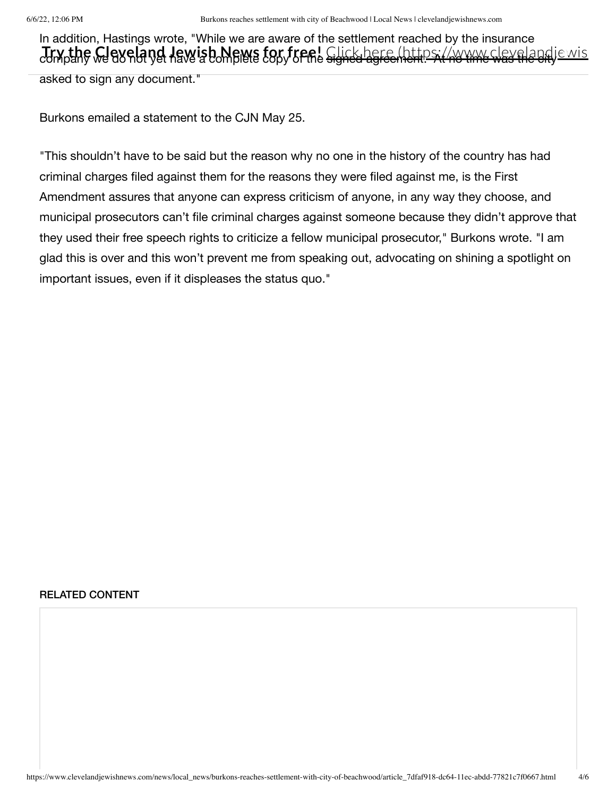In addition, Hastings wrote, "While we are aware of the settlement reached by the insurance company we do not yet have a complete copy of the signed agreement. At no time was the city **Try the Cleveland Jewish News for free!** Click here (https://www.clevelandjewis

asked to sign any document."

Burkons emailed a statement to the CJN May 25.

"This shouldn't have to be said but the reason why no one in the history of the country has had criminal charges filed against them for the reasons they were filed against me, is the First Amendment assures that anyone can express criticism of anyone, in any way they choose, and municipal prosecutors can't file criminal charges against someone because they didn't approve that they used their free speech rights to criticize a fellow municipal prosecutor," Burkons wrote. "I am glad this is over and this won't prevent me from speaking out, advocating on shining a spotlight on important issues, even if it displeases the status quo."

#### RELATED CONTENT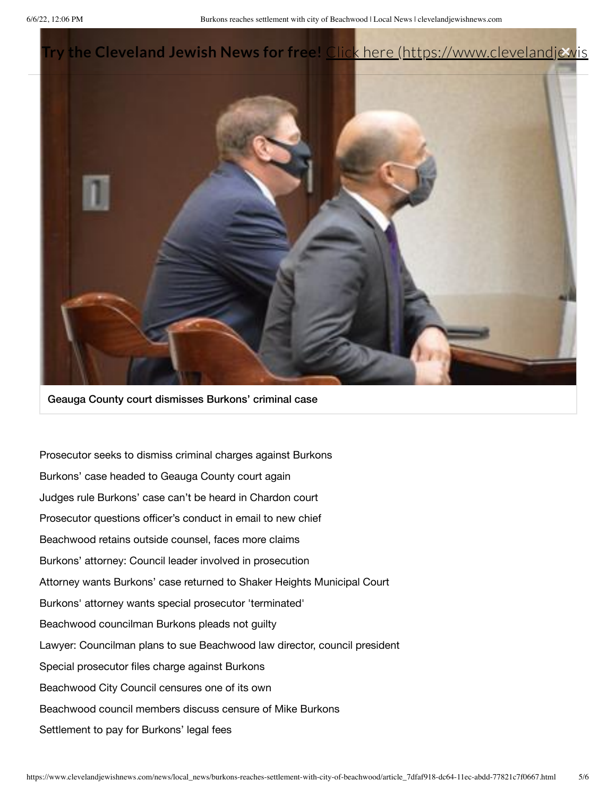

Geauga County court dismisses Burkons' criminal case

Prosecutor seeks to dismiss criminal charges against Burkons Burkons' case headed to Geauga County court again Judges rule Burkons' case can't be heard in Chardon court Prosecutor questions officer's conduct in email to new chief Beachwood retains outside counsel, faces more claims Burkons' attorney: Council leader involved in prosecution Attorney wants Burkons' case returned to Shaker Heights Municipal Court Burkons' attorney wants special prosecutor 'terminated' Beachwood councilman Burkons pleads not guilty Lawyer: Councilman plans to sue Beachwood law director, council president Special prosecutor files charge against Burkons Beachwood City Council censures one of its own Beachwood council members discuss censure of Mike Burkons Settlement to pay for Burkons' legal fees